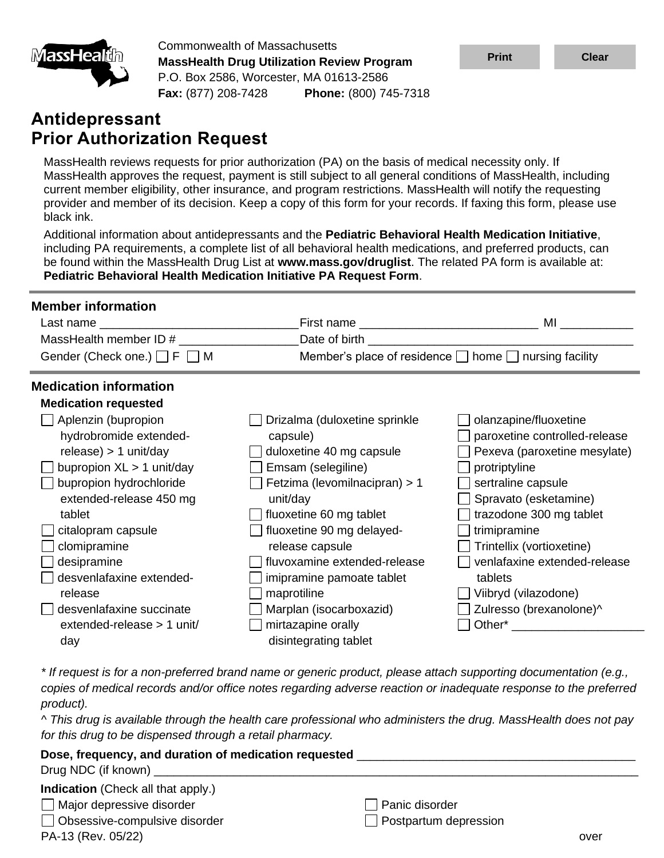

Commonwealth of Massachusetts **MassHealth Drug Utilization Review Program** P.O. Box 2586, Worcester, MA 01613-2586 **Fax:** (877) 208-7428 **Phone:** (800) 745-7318

# **Antidepressant Prior Authorization Request**

MassHealth reviews requests for prior authorization (PA) on the basis of medical necessity only. If MassHealth approves the request, payment is still subject to all general conditions of MassHealth, including current member eligibility, other insurance, and program restrictions. MassHealth will notify the requesting provider and member of its decision. Keep a copy of this form for your records. If faxing this form, please use black ink.

Additional information about antidepressants and the **Pediatric Behavioral Health Medication Initiative**, including PA requirements, a complete list of all behavioral health medications, and preferred products, can be found within the MassHealth Drug List at **www.mass.gov/druglist**. The related PA form is available at: **Pediatric Behavioral Health Medication Initiative PA Request Form**.

| <b>Member information</b>             |                                   |                                                                                                                                                                                                                                     |
|---------------------------------------|-----------------------------------|-------------------------------------------------------------------------------------------------------------------------------------------------------------------------------------------------------------------------------------|
|                                       |                                   | <b>MI</b> Andrea Service and the service of the series of the series of the series of the series of the series of the series of the series of the series of the series of the series of the series of the series of the series of t |
| MassHealth member ID #                | Date of birth ___________________ |                                                                                                                                                                                                                                     |
| Gender (Check one.) $\Box$ F $\Box$ M |                                   | Member's place of residence □ home □ nursing facility                                                                                                                                                                               |
| <b>Medication information</b>         |                                   |                                                                                                                                                                                                                                     |
| <b>Medication requested</b>           |                                   |                                                                                                                                                                                                                                     |
| Aplenzin (bupropion                   | Drizalma (duloxetine sprinkle     | olanzapine/fluoxetine                                                                                                                                                                                                               |
| hydrobromide extended-                | capsule)                          | paroxetine controlled-release                                                                                                                                                                                                       |
| $release) > 1$ unit/day               | duloxetine 40 mg capsule          | Pexeva (paroxetine mesylate)                                                                                                                                                                                                        |
| bupropion $XL > 1$ unit/day           | Emsam (selegiline)                | protriptyline                                                                                                                                                                                                                       |
| bupropion hydrochloride               | Fetzima (levomilnacipran) > 1     | sertraline capsule                                                                                                                                                                                                                  |
| extended-release 450 mg               | unit/day                          | Spravato (esketamine)                                                                                                                                                                                                               |
| tablet                                | fluoxetine 60 mg tablet           | trazodone 300 mg tablet                                                                                                                                                                                                             |
| citalopram capsule                    | fluoxetine 90 mg delayed-         | trimipramine                                                                                                                                                                                                                        |
| clomipramine                          | release capsule                   | Trintellix (vortioxetine)                                                                                                                                                                                                           |
| desipramine                           | fluvoxamine extended-release      | venlafaxine extended-release                                                                                                                                                                                                        |
| desvenlafaxine extended-              | imipramine pamoate tablet         | tablets                                                                                                                                                                                                                             |
| release                               | maprotiline                       | Viibryd (vilazodone)                                                                                                                                                                                                                |
| desvenlafaxine succinate              | Marplan (isocarboxazid)           | Zulresso (brexanolone)^                                                                                                                                                                                                             |
| extended-release $> 1$ unit/          | mirtazapine orally                | Other* The Contract of the Contract of the Contract of the Contract of the Contract of the Contract of the Contract of the Contract of the Contract of the Contract of the Contract of the Contract of the Contract of the Con      |
| day                                   | disintegrating tablet             |                                                                                                                                                                                                                                     |

*\* If request is for a non-preferred brand name or generic product, please attach supporting documentation (e.g., copies of medical records and/or office notes regarding adverse reaction or inadequate response to the preferred product).*

*^ This drug is available through the health care professional who administers the drug. MassHealth does not pay for this drug to be dispensed through a retail pharmacy.*

| Dose, frequency, and duration of medication requested |                              |      |
|-------------------------------------------------------|------------------------------|------|
|                                                       |                              |      |
| <b>Indication</b> (Check all that apply.)             |                              |      |
| $\Box$ Major depressive disorder                      | Panic disorder               |      |
| $\Box$ Obsessive-compulsive disorder                  | $\Box$ Postpartum depression |      |
| PA-13 (Rev. 05/22)                                    |                              | over |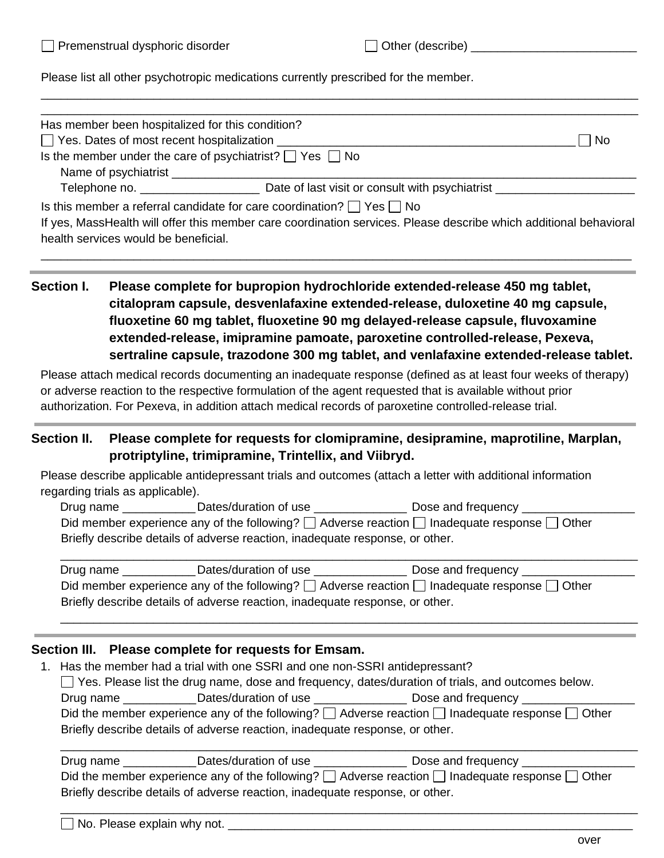Please list all other psychotropic medications currently prescribed for the member.

|                   | Has member been hospitalized for this condition?                                                                                                                                                                                                                                                                                                                                                                                                                                                                                                                                                                                                                                                                                                              |    |
|-------------------|---------------------------------------------------------------------------------------------------------------------------------------------------------------------------------------------------------------------------------------------------------------------------------------------------------------------------------------------------------------------------------------------------------------------------------------------------------------------------------------------------------------------------------------------------------------------------------------------------------------------------------------------------------------------------------------------------------------------------------------------------------------|----|
|                   | □ Yes. Dates of most recent hospitalization ________                                                                                                                                                                                                                                                                                                                                                                                                                                                                                                                                                                                                                                                                                                          | No |
|                   | Is the member under the care of psychiatrist? $\Box$ Yes $\Box$ No                                                                                                                                                                                                                                                                                                                                                                                                                                                                                                                                                                                                                                                                                            |    |
|                   |                                                                                                                                                                                                                                                                                                                                                                                                                                                                                                                                                                                                                                                                                                                                                               |    |
|                   |                                                                                                                                                                                                                                                                                                                                                                                                                                                                                                                                                                                                                                                                                                                                                               |    |
|                   | Is this member a referral candidate for care coordination? $\Box$ Yes $\Box$ No<br>If yes, MassHealth will offer this member care coordination services. Please describe which additional behavioral<br>health services would be beneficial.                                                                                                                                                                                                                                                                                                                                                                                                                                                                                                                  |    |
| <b>Section I.</b> | Please complete for bupropion hydrochloride extended-release 450 mg tablet,<br>citalopram capsule, desvenlafaxine extended-release, duloxetine 40 mg capsule,<br>fluoxetine 60 mg tablet, fluoxetine 90 mg delayed-release capsule, fluvoxamine<br>extended-release, imipramine pamoate, paroxetine controlled-release, Pexeva,<br>sertraline capsule, trazodone 300 mg tablet, and venlafaxine extended-release tablet.<br>Please attach medical records documenting an inadequate response (defined as at least four weeks of therapy)<br>or adverse reaction to the respective formulation of the agent requested that is available without prior<br>authorization. For Pexeva, in addition attach medical records of paroxetine controlled-release trial. |    |
| Section II.       | Please complete for requests for clomipramine, desipramine, maprotiline, Marplan,<br>protriptyline, trimipramine, Trintellix, and Viibryd.<br>Please describe applicable antidepressant trials and outcomes (attach a letter with additional information<br>regarding trials as applicable).                                                                                                                                                                                                                                                                                                                                                                                                                                                                  |    |
|                   | Drug name _____________Dates/duration of use __________________Dose and frequency _________________                                                                                                                                                                                                                                                                                                                                                                                                                                                                                                                                                                                                                                                           |    |
|                   | Did member experience any of the following? $\Box$ Adverse reaction $\Box$ Inadequate response $\Box$ Other<br>Briefly describe details of adverse reaction, inadequate response, or other.                                                                                                                                                                                                                                                                                                                                                                                                                                                                                                                                                                   |    |
|                   | Drug name _____________Dates/duration of use ___________________Dose and frequency ___________<br>Did member experience any of the following? $\Box$ Adverse reaction $\Box$ Inadequate response $\Box$ Other<br>Briefly describe details of adverse reaction, inadequate response, or other.                                                                                                                                                                                                                                                                                                                                                                                                                                                                 |    |
|                   | Section III. Please complete for requests for Emsam.<br>1. Has the member had a trial with one SSRI and one non-SSRI antidepressant?<br>$\Box$ Yes. Please list the drug name, dose and frequency, dates/duration of trials, and outcomes below.<br>Drug name _____________Dates/duration of use ___________________Dose and frequency ________________<br>Did the member experience any of the following? $\Box$ Adverse reaction $\Box$ Inadequate response $\Box$ Other<br>Briefly describe details of adverse reaction, inadequate response, or other.                                                                                                                                                                                                    |    |
|                   | Drug name _____________Dates/duration of use ___________________Dose and frequency ________________<br>Did the member experience any of the following? $\Box$ Adverse reaction $\Box$ Inadequate response $\Box$ Other<br>Briefly describe details of adverse reaction, inadequate response, or other.                                                                                                                                                                                                                                                                                                                                                                                                                                                        |    |

\_\_\_\_\_\_\_\_\_\_\_\_\_\_\_\_\_\_\_\_\_\_\_\_\_\_\_\_\_\_\_\_\_\_\_\_\_\_\_\_\_\_\_\_\_\_\_\_\_\_\_\_\_\_\_\_\_\_\_\_\_\_\_\_\_\_\_\_\_\_\_\_\_\_\_\_\_\_\_\_\_\_\_\_\_\_\_

\_\_\_\_\_\_\_\_\_\_\_\_\_\_\_\_\_\_\_\_\_\_\_\_\_\_\_\_\_\_\_\_\_\_\_\_\_\_\_\_\_\_\_\_\_\_\_\_\_\_\_\_\_\_\_\_\_\_\_\_\_\_\_\_\_\_\_\_\_\_\_\_\_\_\_\_\_\_\_\_\_\_\_\_\_\_\_\_\_\_

No. Please explain why not. \_\_\_\_\_\_\_\_\_\_\_\_\_\_\_\_\_\_\_\_\_\_\_\_\_\_\_\_\_\_\_\_\_\_\_\_\_\_\_\_\_\_\_\_\_\_\_\_\_\_\_\_\_\_\_\_\_\_\_\_\_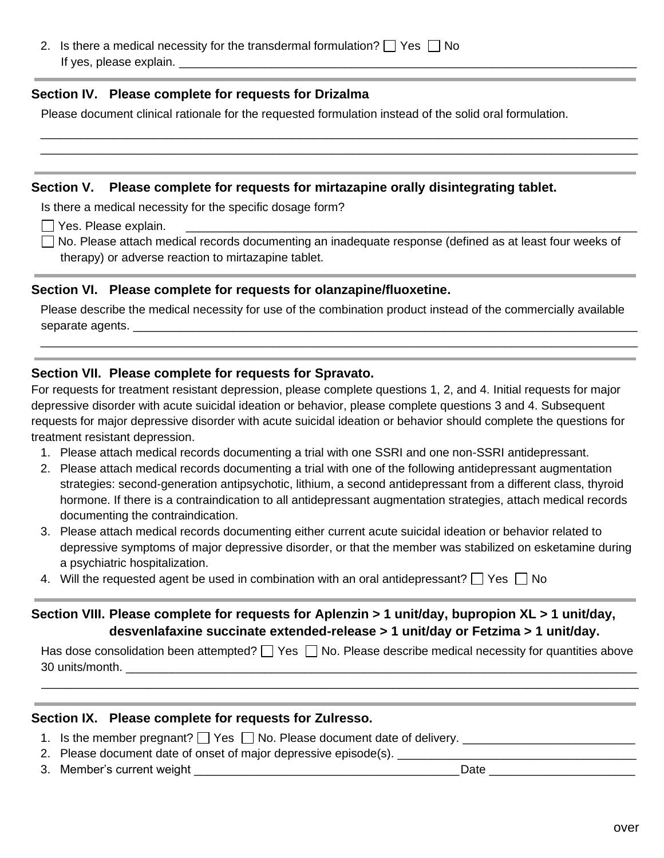2. Is there a medical necessity for the transdermal formulation?  $\Box$  Yes  $\Box$  No If yes, please explain.

#### **Section IV. Please complete for requests for Drizalma**

Please document clinical rationale for the requested formulation instead of the solid oral formulation.

#### **Section V. Please complete for requests for mirtazapine orally disintegrating tablet.**

Is there a medical necessity for the specific dosage form?

 $\Box$  Yes. Please explain.

□ No. Please attach medical records documenting an inadequate response (defined as at least four weeks of therapy) or adverse reaction to mirtazapine tablet.

\_\_\_\_\_\_\_\_\_\_\_\_\_\_\_\_\_\_\_\_\_\_\_\_\_\_\_\_\_\_\_\_\_\_\_\_\_\_\_\_\_\_\_\_\_\_\_\_\_\_\_\_\_\_\_\_\_\_\_\_\_\_\_\_\_\_\_\_\_\_\_\_\_\_\_\_\_\_\_\_\_\_\_\_\_\_\_\_\_\_ \_\_\_\_\_\_\_\_\_\_\_\_\_\_\_\_\_\_\_\_\_\_\_\_\_\_\_\_\_\_\_\_\_\_\_\_\_\_\_\_\_\_\_\_\_\_\_\_\_\_\_\_\_\_\_\_\_\_\_\_\_\_\_\_\_\_\_\_\_\_\_\_\_\_\_\_\_\_\_\_\_\_\_\_\_\_\_\_\_\_

#### **Section VI. Please complete for requests for olanzapine/fluoxetine.**

Please describe the medical necessity for use of the combination product instead of the commercially available separate agents. \_\_\_\_\_\_\_\_\_\_\_\_\_\_\_\_\_\_\_\_\_\_\_\_\_\_\_\_\_\_\_\_\_\_\_\_\_\_\_\_\_\_\_\_\_\_\_\_\_\_\_\_\_\_\_\_\_\_\_\_\_\_\_\_\_\_\_\_\_\_\_\_\_\_\_\_

\_\_\_\_\_\_\_\_\_\_\_\_\_\_\_\_\_\_\_\_\_\_\_\_\_\_\_\_\_\_\_\_\_\_\_\_\_\_\_\_\_\_\_\_\_\_\_\_\_\_\_\_\_\_\_\_\_\_\_\_\_\_\_\_\_\_\_\_\_\_\_\_\_\_\_\_\_\_\_\_\_\_\_\_\_\_\_\_\_\_

#### **Section VII. Please complete for requests for Spravato.**

For requests for treatment resistant depression, please complete questions 1, 2, and 4. Initial requests for major depressive disorder with acute suicidal ideation or behavior, please complete questions 3 and 4. Subsequent requests for major depressive disorder with acute suicidal ideation or behavior should complete the questions for treatment resistant depression.

- 1. Please attach medical records documenting a trial with one SSRI and one non-SSRI antidepressant.
- 2. Please attach medical records documenting a trial with one of the following antidepressant augmentation strategies: second-generation antipsychotic, lithium, a second antidepressant from a different class, thyroid hormone. If there is a contraindication to all antidepressant augmentation strategies, attach medical records documenting the contraindication.
- 3. Please attach medical records documenting either current acute suicidal ideation or behavior related to depressive symptoms of major depressive disorder, or that the member was stabilized on esketamine during a psychiatric hospitalization.
- 4. Will the requested agent be used in combination with an oral antidepressant?  $\Box$  Yes  $\Box$  No

## **Section VIII. Please complete for requests for Aplenzin > 1 unit/day, bupropion XL > 1 unit/day, desvenlafaxine succinate extended-release > 1 unit/day or Fetzima > 1 unit/day.**

Has dose consolidation been attempted?  $\Box$  Yes  $\Box$  No. Please describe medical necessity for quantities above 30 units/month. \_\_\_\_\_\_\_\_\_\_\_\_\_\_\_\_\_\_\_\_\_\_\_\_\_\_\_\_\_\_\_\_\_\_\_\_\_\_\_\_\_\_\_\_\_\_\_\_\_\_\_\_\_\_\_\_\_\_\_\_\_\_\_\_\_\_\_\_\_\_\_\_\_\_\_\_\_

\_\_\_\_\_\_\_\_\_\_\_\_\_\_\_\_\_\_\_\_\_\_\_\_\_\_\_\_\_\_\_\_\_\_\_\_\_\_\_\_\_\_\_\_\_\_\_\_\_\_\_\_\_\_\_\_\_\_\_\_\_\_\_\_\_\_\_\_\_\_\_\_\_\_\_\_\_\_\_\_\_\_\_\_\_\_\_\_\_\_

#### **Section IX. Please complete for requests for Zulresso.**

- 1. Is the member pregnant?  $\Box$  Yes  $\Box$  No. Please document date of delivery.  $\Box$
- 2. Please document date of onset of major depressive episode(s).
- 3. Member's current weight **of the set of the set of the set of the set of the set of the set of the set of the set of the set of the set of the set of the set of the set of the set of the set of the set of the set of the**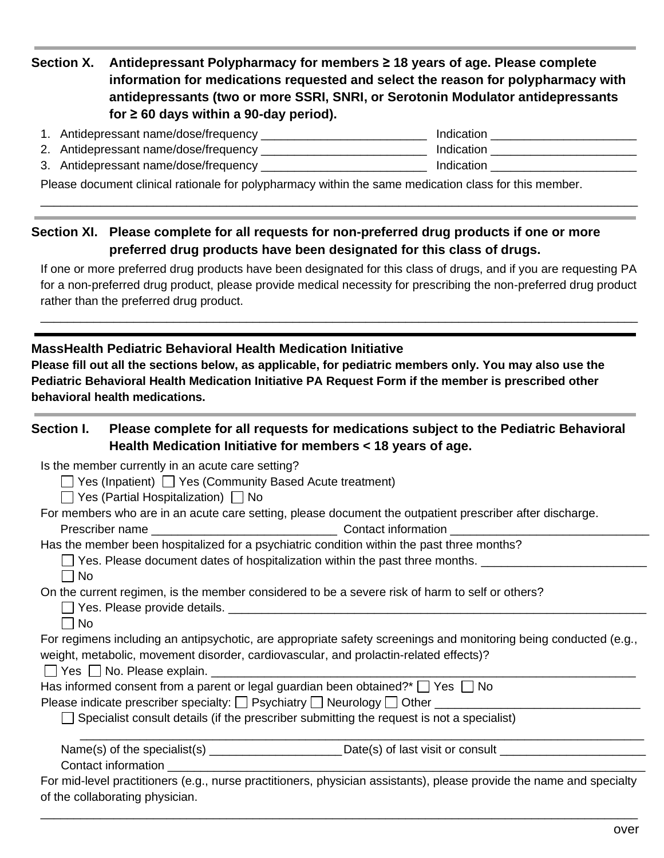# **Section X. Antidepressant Polypharmacy for members ≥ 18 years of age. Please complete information for medications requested and select the reason for polypharmacy with antidepressants (two or more SSRI, SNRI, or Serotonin Modulator antidepressants for ≥ 60 days within a 90-day period).**

| 1. Antidepressant name/dose/frequency | Indication |
|---------------------------------------|------------|
| 2. Antidepressant name/dose/frequency | Indication |
| 3. Antidepressant name/dose/frequency | Indication |

\_\_\_\_\_\_\_\_\_\_\_\_\_\_\_\_\_\_\_\_\_\_\_\_\_\_\_\_\_\_\_\_\_\_\_\_\_\_\_\_\_\_\_\_\_\_\_\_\_\_\_\_\_\_\_\_\_\_\_\_\_\_\_\_\_\_\_\_\_\_\_\_\_\_\_\_\_\_\_\_\_\_\_\_\_\_\_\_\_\_

Please document clinical rationale for polypharmacy within the same medication class for this member.

## **Section XI. Please complete for all requests for non-preferred drug products if one or more preferred drug products have been designated for this class of drugs.**

If one or more preferred drug products have been designated for this class of drugs, and if you are requesting PA for a non-preferred drug product, please provide medical necessity for prescribing the non-preferred drug product rather than the preferred drug product.

\_\_\_\_\_\_\_\_\_\_\_\_\_\_\_\_\_\_\_\_\_\_\_\_\_\_\_\_\_\_\_\_\_\_\_\_\_\_\_\_\_\_\_\_\_\_\_\_\_\_\_\_\_\_\_\_\_\_\_\_\_\_\_\_\_\_\_\_\_\_\_\_\_\_\_\_\_\_\_\_\_\_\_\_\_\_\_\_\_\_

### **MassHealth Pediatric Behavioral Health Medication Initiative**

**Please fill out all the sections below, as applicable, for pediatric members only. You may also use the Pediatric Behavioral Health Medication Initiative PA Request Form if the member is prescribed other behavioral health medications.**

## **Section I. Please complete for all requests for medications subject to the Pediatric Behavioral Health Medication Initiative for members < 18 years of age.** Is the member currently in an acute care setting?  $\Box$  Yes (Inpatient)  $\Box$  Yes (Community Based Acute treatment)  $\Box$  Yes (Partial Hospitalization)  $\Box$  No For members who are in an acute care setting, please document the outpatient prescriber after discharge. Prescriber name \_\_\_\_\_\_\_\_\_\_\_\_\_\_\_\_\_\_\_\_\_\_\_\_\_\_\_\_ Contact information \_\_\_\_\_\_\_\_\_\_\_\_\_\_\_\_\_\_\_\_\_\_\_\_\_\_\_\_\_\_

Has the member been hospitalized for a psychiatric condition within the past three months?

| $\Box$ Yes. Please document dates of hospitalization within the past three months. |  |
|------------------------------------------------------------------------------------|--|
| $\Box$ No                                                                          |  |

### On the current regimen, is the member considered to be a severe risk of harm to self or others?

| □ Yes. Please provide details. |  |
|--------------------------------|--|
|--------------------------------|--|

l INo

For regimens including an antipsychotic, are appropriate safety screenings and monitoring being conducted (e.g., weight, metabolic, movement disorder, cardiovascular, and prolactin-related effects)?

| $\overline{\phantom{a}}$<br>es | <b>Please</b><br>NΩ<br>explain.<br>. |  |
|--------------------------------|--------------------------------------|--|
|                                |                                      |  |

| Has informed consent from a parent or legal guardian been obtained?* $\Box$ Yes $\Box$ No |  |  |  |
|-------------------------------------------------------------------------------------------|--|--|--|
|                                                                                           |  |  |  |

Please indicate prescriber specialty:  $\square$  Psychiatry  $\square$  Neurology  $\square$  Other  $\square$ 

 $\Box$  Specialist consult details (if the prescriber submitting the request is not a specialist)

| Name(s) of the specialist(s) | Date(s) of last visit or consult |  |
|------------------------------|----------------------------------|--|
| Contact information          |                                  |  |

For mid-level practitioners (e.g., nurse practitioners, physician assistants), please provide the name and specialty of the collaborating physician.

\_\_\_\_\_\_\_\_\_\_\_\_\_\_\_\_\_\_\_\_\_\_\_\_\_\_\_\_\_\_\_\_\_\_\_\_\_\_\_\_\_\_\_\_\_\_\_\_\_\_\_\_\_\_\_\_\_\_\_\_\_\_\_\_\_\_\_\_\_\_\_\_\_\_\_\_\_\_\_\_\_\_\_\_\_\_\_\_\_\_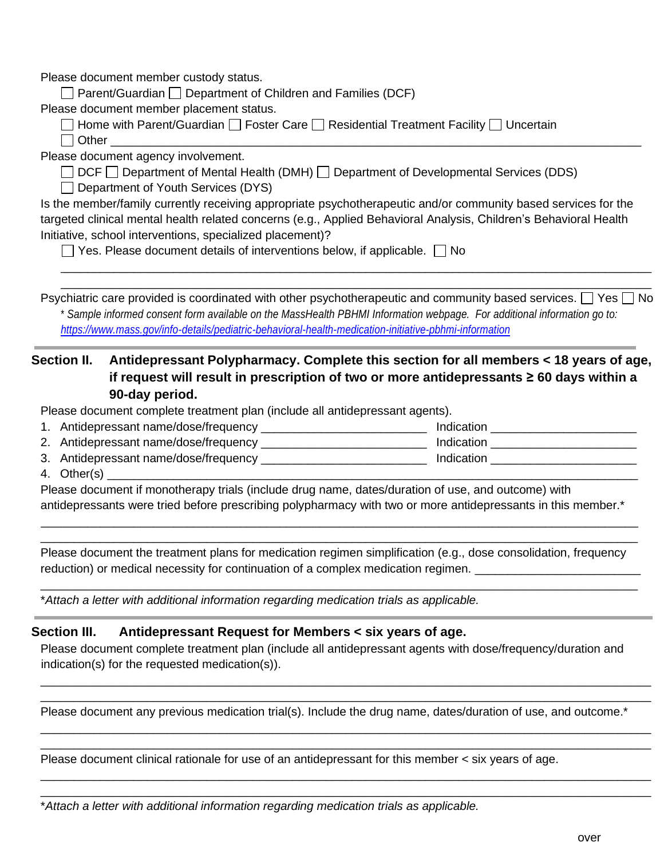Please document member custody status.

 $\Box$  Parent/Guardian  $\Box$  Department of Children and Families (DCF)

Please document member placement status.

 $\Box$  Home with Parent/Guardian  $\Box$  Foster Care  $\Box$  Residential Treatment Facility  $\Box$  Uncertain  $\Box$  Other  $\Box$ 

Please document agency involvement.

 $\Box$  DCF  $\Box$  Department of Mental Health (DMH)  $\Box$  Department of Developmental Services (DDS)

 $\Box$  Department of Youth Services (DYS)

Is the member/family currently receiving appropriate psychotherapeutic and/or community based services for the targeted clinical mental health related concerns (e.g., Applied Behavioral Analysis, Children's Behavioral Health Initiative, school interventions, specialized placement)?

 $\Box$  Yes. Please document details of interventions below, if applicable.  $\Box$  No

Psychiatric care provided is coordinated with other psychotherapeutic and community based services.  $\Box$  Yes  $\Box$  No \* *Sample informed consent form available on the MassHealth PBHMI Information webpage. For additional information go to: <https://www.mass.gov/info-details/pediatric-behavioral-health-medication-initiative-pbhmi-information>*

\_\_\_\_\_\_\_\_\_\_\_\_\_\_\_\_\_\_\_\_\_\_\_\_\_\_\_\_\_\_\_\_\_\_\_\_\_\_\_\_\_\_\_\_\_\_\_\_\_\_\_\_\_\_\_\_\_\_\_\_\_\_\_\_\_\_\_\_\_\_\_\_\_\_\_\_\_\_\_\_\_\_\_\_\_\_\_\_\_ \_\_\_\_\_\_\_\_\_\_\_\_\_\_\_\_\_\_\_\_\_\_\_\_\_\_\_\_\_\_\_\_\_\_\_\_\_\_\_\_\_\_\_\_\_\_\_\_\_\_\_\_\_\_\_\_\_\_\_\_\_\_\_\_\_\_\_\_\_\_\_\_\_\_\_\_\_\_\_\_\_\_\_\_\_\_\_\_\_

## **Section II. Antidepressant Polypharmacy. Complete this section for all members < 18 years of age, if request will result in prescription of two or more antidepressants ≥ 60 days within a 90-day period.**

Please document complete treatment plan (include all antidepressant agents).

1. Antidepressant name/dose/frequency \_\_\_\_\_\_\_\_\_\_\_\_\_\_\_\_\_\_\_\_\_\_\_\_\_ Indication \_\_\_\_\_\_\_\_\_\_\_\_\_\_\_\_\_\_\_\_\_\_

2. Antidepressant name/dose/frequency \_\_\_\_\_\_\_\_\_\_\_\_\_\_\_\_\_\_\_\_\_\_\_\_\_ Indication \_\_\_\_\_\_\_\_\_\_\_\_\_\_\_\_\_\_\_\_\_\_

- 3. Antidepressant name/dose/frequency \_\_\_\_\_\_\_\_\_\_\_\_\_\_\_\_\_\_\_\_\_\_\_\_\_\_\_\_\_\_\_\_\_\_\_ Indication \_\_\_\_\_\_\_\_\_\_\_\_\_\_\_\_\_\_\_\_\_\_\_\_\_
- 4. Other(s)

Please document if monotherapy trials (include drug name, dates/duration of use, and outcome) with antidepressants were tried before prescribing polypharmacy with two or more antidepressants in this member.\*

\_\_\_\_\_\_\_\_\_\_\_\_\_\_\_\_\_\_\_\_\_\_\_\_\_\_\_\_\_\_\_\_\_\_\_\_\_\_\_\_\_\_\_\_\_\_\_\_\_\_\_\_\_\_\_\_\_\_\_\_\_\_\_\_\_\_\_\_\_\_\_\_\_\_\_\_\_\_\_\_\_\_\_\_\_\_\_\_\_\_ \_\_\_\_\_\_\_\_\_\_\_\_\_\_\_\_\_\_\_\_\_\_\_\_\_\_\_\_\_\_\_\_\_\_\_\_\_\_\_\_\_\_\_\_\_\_\_\_\_\_\_\_\_\_\_\_\_\_\_\_\_\_\_\_\_\_\_\_\_\_\_\_\_\_\_\_\_\_\_\_\_\_\_\_\_\_\_\_\_\_

Please document the treatment plans for medication regimen simplification (e.g., dose consolidation, frequency reduction) or medical necessity for continuation of a complex medication regimen.

\_\_\_\_\_\_\_\_\_\_\_\_\_\_\_\_\_\_\_\_\_\_\_\_\_\_\_\_\_\_\_\_\_\_\_\_\_\_\_\_\_\_\_\_\_\_\_\_\_\_\_\_\_\_\_\_\_\_\_\_\_\_\_\_\_\_\_\_\_\_\_\_\_\_\_\_\_\_\_\_\_\_\_\_\_\_\_\_\_\_

\**Attach a letter with additional information regarding medication trials as applicable.*

### **Section III. Antidepressant Request for Members < six years of age.**

Please document complete treatment plan (include all antidepressant agents with dose/frequency/duration and indication(s) for the requested medication(s)).

\_\_\_\_\_\_\_\_\_\_\_\_\_\_\_\_\_\_\_\_\_\_\_\_\_\_\_\_\_\_\_\_\_\_\_\_\_\_\_\_\_\_\_\_\_\_\_\_\_\_\_\_\_\_\_\_\_\_\_\_\_\_\_\_\_\_\_\_\_\_\_\_\_\_\_\_\_\_\_\_\_\_\_\_\_\_\_\_\_\_\_\_ \_\_\_\_\_\_\_\_\_\_\_\_\_\_\_\_\_\_\_\_\_\_\_\_\_\_\_\_\_\_\_\_\_\_\_\_\_\_\_\_\_\_\_\_\_\_\_\_\_\_\_\_\_\_\_\_\_\_\_\_\_\_\_\_\_\_\_\_\_\_\_\_\_\_\_\_\_\_\_\_\_\_\_\_\_\_\_\_\_\_\_\_

\_\_\_\_\_\_\_\_\_\_\_\_\_\_\_\_\_\_\_\_\_\_\_\_\_\_\_\_\_\_\_\_\_\_\_\_\_\_\_\_\_\_\_\_\_\_\_\_\_\_\_\_\_\_\_\_\_\_\_\_\_\_\_\_\_\_\_\_\_\_\_\_\_\_\_\_\_\_\_\_\_\_\_\_\_\_\_\_\_\_\_\_ \_\_\_\_\_\_\_\_\_\_\_\_\_\_\_\_\_\_\_\_\_\_\_\_\_\_\_\_\_\_\_\_\_\_\_\_\_\_\_\_\_\_\_\_\_\_\_\_\_\_\_\_\_\_\_\_\_\_\_\_\_\_\_\_\_\_\_\_\_\_\_\_\_\_\_\_\_\_\_\_\_\_\_\_\_\_\_\_\_\_\_\_

\_\_\_\_\_\_\_\_\_\_\_\_\_\_\_\_\_\_\_\_\_\_\_\_\_\_\_\_\_\_\_\_\_\_\_\_\_\_\_\_\_\_\_\_\_\_\_\_\_\_\_\_\_\_\_\_\_\_\_\_\_\_\_\_\_\_\_\_\_\_\_\_\_\_\_\_\_\_\_\_\_\_\_\_\_\_\_\_\_\_\_\_ \_\_\_\_\_\_\_\_\_\_\_\_\_\_\_\_\_\_\_\_\_\_\_\_\_\_\_\_\_\_\_\_\_\_\_\_\_\_\_\_\_\_\_\_\_\_\_\_\_\_\_\_\_\_\_\_\_\_\_\_\_\_\_\_\_\_\_\_\_\_\_\_\_\_\_\_\_\_\_\_\_\_\_\_\_\_\_\_\_\_\_\_

Please document any previous medication trial(s). Include the drug name, dates/duration of use, and outcome.<sup>\*</sup>

Please document clinical rationale for use of an antidepressant for this member < six years of age.

\**Attach a letter with additional information regarding medication trials as applicable.*